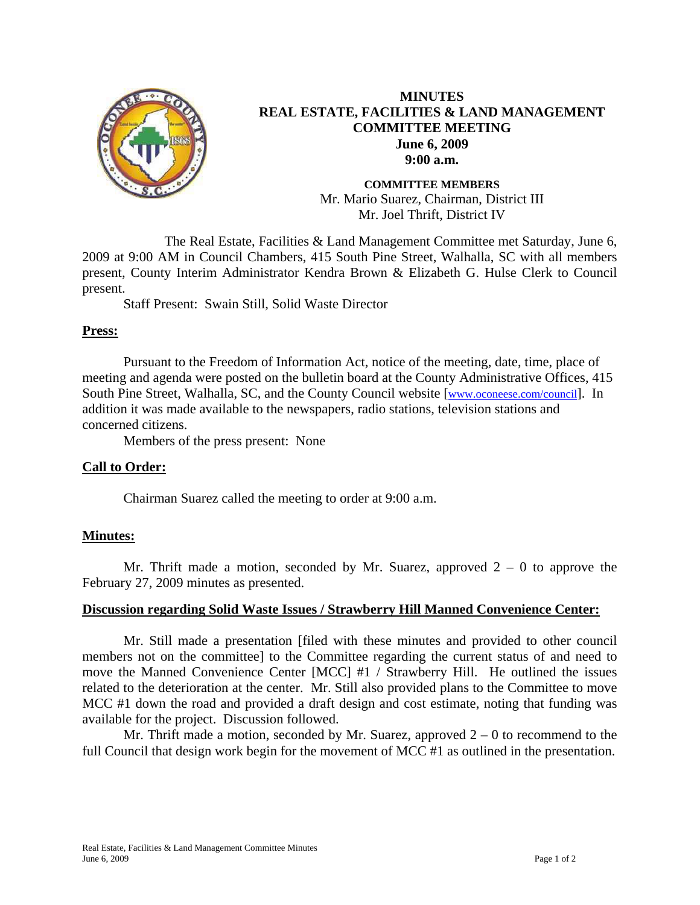

# **MINUTES REAL ESTATE, FACILITIES & LAND MANAGEMENT COMMITTEE MEETING June 6, 2009 9:00 a.m.**

**COMMITTEE MEMBERS**  Mr. Mario Suarez, Chairman, District III Mr. Joel Thrift, District IV

 The Real Estate, Facilities & Land Management Committee met Saturday, June 6, 2009 at 9:00 AM in Council Chambers, 415 South Pine Street, Walhalla, SC with all members present, County Interim Administrator Kendra Brown & Elizabeth G. Hulse Clerk to Council present.

Staff Present: Swain Still, Solid Waste Director

## **Press:**

Pursuant to the Freedom of Information Act, notice of the meeting, date, time, place of meeting and agenda were posted on the bulletin board at the County Administrative Offices, 415 South Pine Street, Walhalla, SC, and the County Council website [\[www.oconeese.com/council\]](http://www.oconeese.com/council). In addition it was made available to the newspapers, radio stations, television stations and concerned citizens.

Members of the press present: None

## **Call to Order:**

Chairman Suarez called the meeting to order at 9:00 a.m.

## **Minutes:**

Mr. Thrift made a motion, seconded by Mr. Suarez, approved  $2 - 0$  to approve the February 27, 2009 minutes as presented.

### **Discussion regarding Solid Waste Issues / Strawberry Hill Manned Convenience Center:**

Mr. Still made a presentation [filed with these minutes and provided to other council members not on the committee] to the Committee regarding the current status of and need to move the Manned Convenience Center [MCC] #1 / Strawberry Hill. He outlined the issues related to the deterioration at the center. Mr. Still also provided plans to the Committee to move MCC #1 down the road and provided a draft design and cost estimate, noting that funding was available for the project. Discussion followed.

Mr. Thrift made a motion, seconded by Mr. Suarez, approved  $2 - 0$  to recommend to the full Council that design work begin for the movement of MCC #1 as outlined in the presentation.